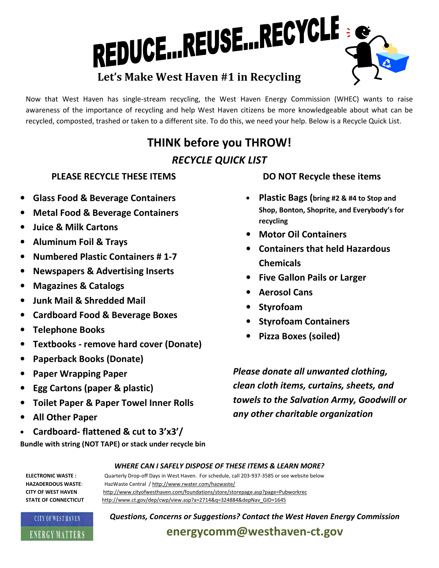# REDUCE...REUSE...RECYCLE

#### Now that West Haven has single-stream recycling, the West Haven Energy Commission (WHEC) wants to raise awareness of the importance of recycling and help West Haven citizens be more knowledgeable about what can be recycled, composted, trashed or taken to a different site. To do this, we need your help. Below is a Recycle Quick List.

## THINK before you THROW! RECYCLE QUICK LIST

#### PLEASE RECYCLE THESE ITEMS

- Glass Food & Beverage Containers
- Metal Food & Beverage Containers
- Juice & Milk Cartons
- Aluminum Foil & Trays
- Numbered Plastic Containers # 1-7
- Newspapers & Advertising Inserts
- Magazines & Catalogs
- Junk Mail & Shredded Mail
- Cardboard Food & Beverage Boxes
- Telephone Books
- Textbooks remove hard cover (Donate)
- Paperback Books (Donate)
- Paper Wrapping Paper
- Egg Cartons (paper & plastic)
- Toilet Paper & Paper Towel Inner Rolls
- All Other Paper
- Cardboard- flattened & cut to 3'x3'/

Bundle with string (NOT TAPE) or stack under recycle bin

## DO NOT Recycle these items

- Plastic Bags (bring #2 & #4 to Stop and Shop, Bonton, Shoprite, and Everybody's for recycling
- Motor Oil Containers
- Containers that held Hazardous **Chemicals**
- Five Gallon Pails or Larger
- Aerosol Cans
- **Styrofoam**
- Styrofoam Containers
- Pizza Boxes (soiled)

Please donate all unwanted clothing, clean cloth items, curtains, sheets, and towels to the Salvation Army, Goodwill or any other charitable organization

#### WHERE CAN I SAFELY DISPOSE OF THESE ITEMS & LEARN MORE?

HAZADERDOUS WASTE: HazWaste Central / http://www.rwater.com/hazwaste/ CITY OF WEST HAVEN http://www.cityofwesthaven.com/foundations/store/storepage.asp?page=Pubworkrec STATE OF CONNECTICUT http://www.ct.gov/dep/cwp/view.asp?a=2714&q=324884&depNav\_GID=1645



Questions, Concerns or Suggestions? Contact the West Haven Energy Commission

energycomm@westhaven-ct.gov

ELECTRONIC WASTE : Quarterly Drop-off Days in West Haven. For schedule, call 203-937-3585 or see website below